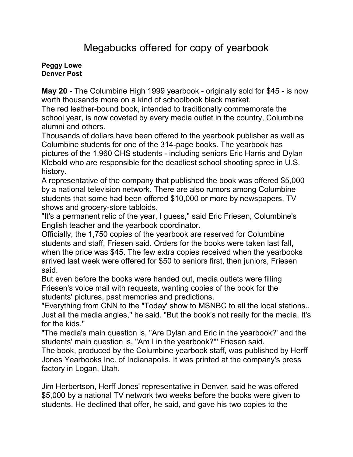## Megabucks offered for copy of yearbook

## **[Peggy Lowe](mailto:newsroom@denverpost.com) Denver Post**

**May 20** - The Columbine High 1999 yearbook - originally sold for \$45 - is now worth thousands more on a kind of schoolbook black market.

The red leather-bound book, intended to traditionally commemorate the school year, is now coveted by every media outlet in the country, Columbine alumni and others.

Thousands of dollars have been offered to the yearbook publisher as well as Columbine students for one of the 314-page books. The yearbook has pictures of the 1,960 CHS students - including seniors Eric Harris and Dylan Klebold who are responsible for the deadliest school shooting spree in U.S. history.

A representative of the company that published the book was offered \$5,000 by a national television network. There are also rumors among Columbine students that some had been offered \$10,000 or more by newspapers, TV shows and grocery-store tabloids.

"It's a permanent relic of the year, I guess,'' said Eric Friesen, Columbine's English teacher and the yearbook coordinator.

Officially, the 1,750 copies of the yearbook are reserved for Columbine students and staff, Friesen said. Orders for the books were taken last fall, when the price was \$45. The few extra copies received when the yearbooks arrived last week were offered for \$50 to seniors first, then juniors, Friesen said.

But even before the books were handed out, media outlets were filling Friesen's voice mail with requests, wanting copies of the book for the students' pictures, past memories and predictions.

"Everything from CNN to the "Today' show to MSNBC to all the local stations.. Just all the media angles,'' he said. "But the book's not really for the media. It's for the kids.''

"The media's main question is, "Are Dylan and Eric in the yearbook?' and the students' main question is, "Am I in the yearbook?''' Friesen said.

The book, produced by the Columbine yearbook staff, was published by Herff Jones Yearbooks Inc. of Indianapolis. It was printed at the company's press factory in Logan, Utah.

Jim Herbertson, Herff Jones' representative in Denver, said he was offered \$5,000 by a national TV network two weeks before the books were given to students. He declined that offer, he said, and gave his two copies to the